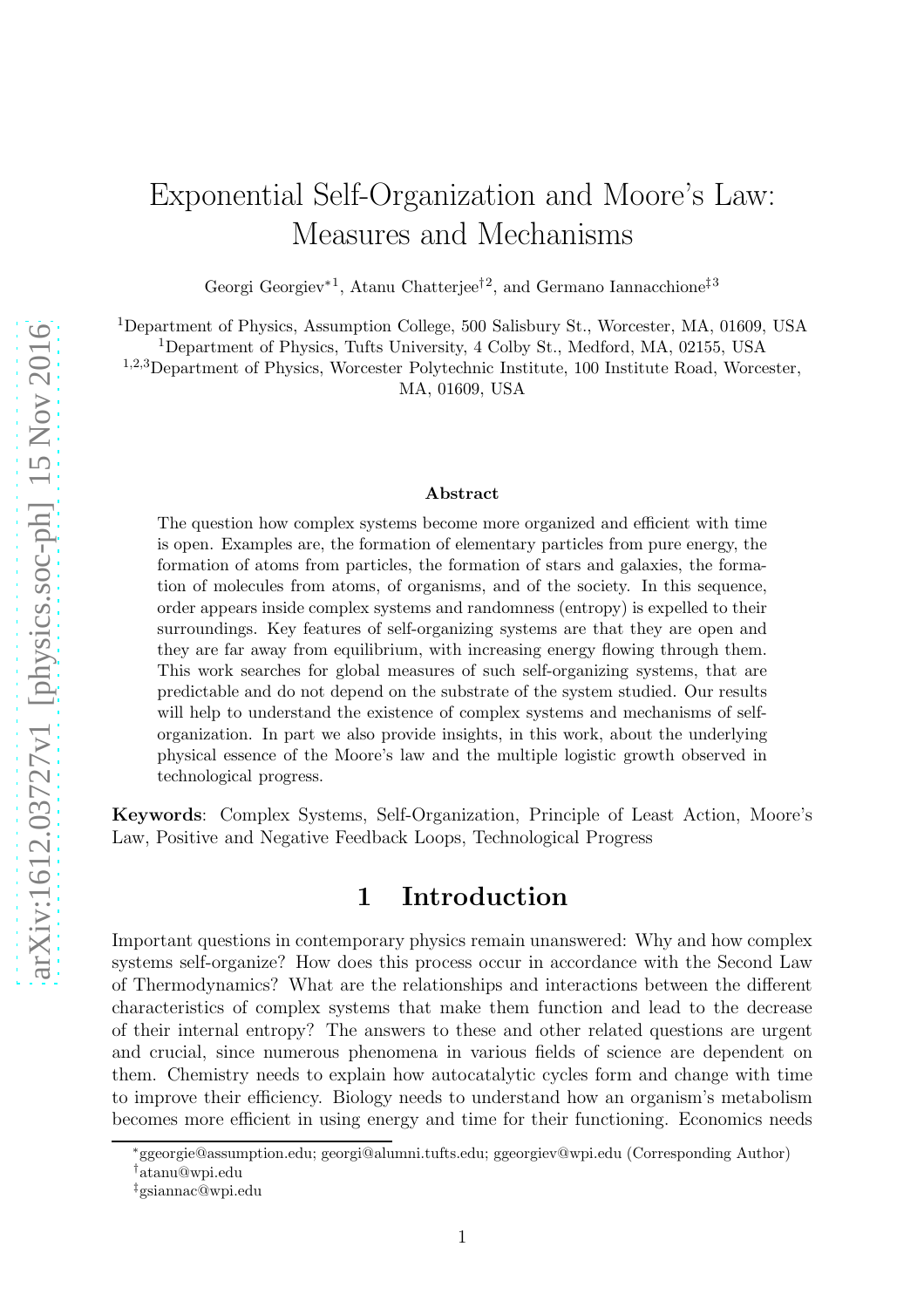# Exponential Self-Organization and Moore's Law: Measures and Mechanisms

Georgi Georgiev<sup>∗1</sup>, Atanu Chatterjee<sup>†2</sup>, and Germano Iannacchione<sup>‡3</sup>

<sup>1</sup>Department of Physics, Assumption College, 500 Salisbury St., Worcester, MA, 01609, USA <sup>1</sup>Department of Physics, Tufts University, 4 Colby St., Medford, MA, 02155, USA

1,2,3Department of Physics, Worcester Polytechnic Institute, 100 Institute Road, Worcester, MA, 01609, USA

#### Abstract

The question how complex systems become more organized and efficient with time is open. Examples are, the formation of elementary particles from pure energy, the formation of atoms from particles, the formation of stars and galaxies, the formation of molecules from atoms, of organisms, and of the society. In this sequence, order appears inside complex systems and randomness (entropy) is expelled to their surroundings. Key features of self-organizing systems are that they are open and they are far away from equilibrium, with increasing energy flowing through them. This work searches for global measures of such self-organizing systems, that are predictable and do not depend on the substrate of the system studied. Our results will help to understand the existence of complex systems and mechanisms of selforganization. In part we also provide insights, in this work, about the underlying physical essence of the Moore's law and the multiple logistic growth observed in technological progress.

Keywords: Complex Systems, Self-Organization, Principle of Least Action, Moore's Law, Positive and Negative Feedback Loops, Technological Progress

#### 1 Introduction

Important questions in contemporary physics remain unanswered: Why and how complex systems self-organize? How does this process occur in accordance with the Second Law of Thermodynamics? What are the relationships and interactions between the different characteristics of complex systems that make them function and lead to the decrease of their internal entropy? The answers to these and other related questions are urgent and crucial, since numerous phenomena in various fields of science are dependent on them. Chemistry needs to explain how autocatalytic cycles form and change with time to improve their efficiency. Biology needs to understand how an organism's metabolism becomes more efficient in using energy and time for their functioning. Economics needs

<sup>∗</sup>ggeorgie@assumption.edu; georgi@alumni.tufts.edu; ggeorgiev@wpi.edu (Corresponding Author)

<sup>†</sup>atanu@wpi.edu

<sup>‡</sup>gsiannac@wpi.edu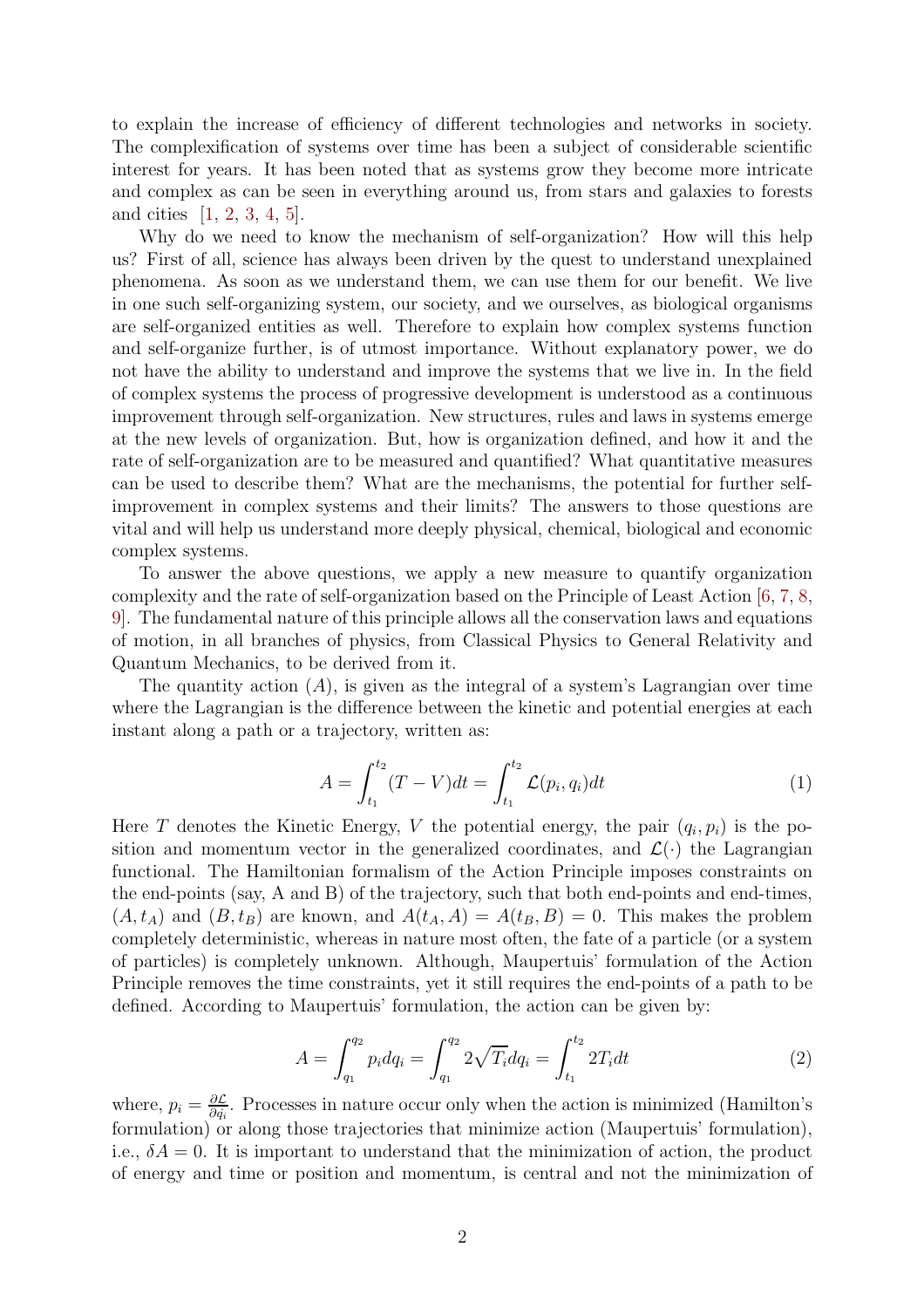to explain the increase of efficiency of different technologies and networks in society. The complexification of systems over time has been a subject of considerable scientific interest for years. It has been noted that as systems grow they become more intricate and complex as can be seen in everything around us, from stars and galaxies to forests and cities [\[1,](#page-12-0) [2,](#page-12-1) [3,](#page-12-2) [4,](#page-12-3) [5\]](#page-12-4).

Why do we need to know the mechanism of self-organization? How will this help us? First of all, science has always been driven by the quest to understand unexplained phenomena. As soon as we understand them, we can use them for our benefit. We live in one such self-organizing system, our society, and we ourselves, as biological organisms are self-organized entities as well. Therefore to explain how complex systems function and self-organize further, is of utmost importance. Without explanatory power, we do not have the ability to understand and improve the systems that we live in. In the field of complex systems the process of progressive development is understood as a continuous improvement through self-organization. New structures, rules and laws in systems emerge at the new levels of organization. But, how is organization defined, and how it and the rate of self-organization are to be measured and quantified? What quantitative measures can be used to describe them? What are the mechanisms, the potential for further selfimprovement in complex systems and their limits? The answers to those questions are vital and will help us understand more deeply physical, chemical, biological and economic complex systems.

To answer the above questions, we apply a new measure to quantify organization complexity and the rate of self-organization based on the Principle of Least Action [\[6](#page-12-5), [7](#page-12-6), [8](#page-12-7), [9\]](#page-12-8). The fundamental nature of this principle allows all the conservation laws and equations of motion, in all branches of physics, from Classical Physics to General Relativity and Quantum Mechanics, to be derived from it.

The quantity action  $(A)$ , is given as the integral of a system's Lagrangian over time where the Lagrangian is the difference between the kinetic and potential energies at each instant along a path or a trajectory, written as:

$$
A = \int_{t_1}^{t_2} (T - V) dt = \int_{t_1}^{t_2} \mathcal{L}(p_i, q_i) dt \tag{1}
$$

Here T denotes the Kinetic Energy, V the potential energy, the pair  $(q_i, p_i)$  is the position and momentum vector in the generalized coordinates, and  $\mathcal{L}(\cdot)$  the Lagrangian functional. The Hamiltonian formalism of the Action Principle imposes constraints on the end-points (say, A and B) of the trajectory, such that both end-points and end-times,  $(A, t_A)$  and  $(B, t_B)$  are known, and  $A(t_A, A) = A(t_B, B) = 0$ . This makes the problem completely deterministic, whereas in nature most often, the fate of a particle (or a system of particles) is completely unknown. Although, Maupertuis' formulation of the Action Principle removes the time constraints, yet it still requires the end-points of a path to be defined. According to Maupertuis' formulation, the action can be given by:

$$
A = \int_{q_1}^{q_2} p_i dq_i = \int_{q_1}^{q_2} 2\sqrt{T_i} dq_i = \int_{t_1}^{t_2} 2T_i dt
$$
 (2)

where,  $p_i = \frac{\partial \mathcal{L}}{\partial \dot{a}_i}$  $\frac{\partial \mathcal{L}}{\partial \dot{q}_i}$ . Processes in nature occur only when the action is minimized (Hamilton's formulation) or along those trajectories that minimize action (Maupertuis' formulation), i.e.,  $\delta A = 0$ . It is important to understand that the minimization of action, the product of energy and time or position and momentum, is central and not the minimization of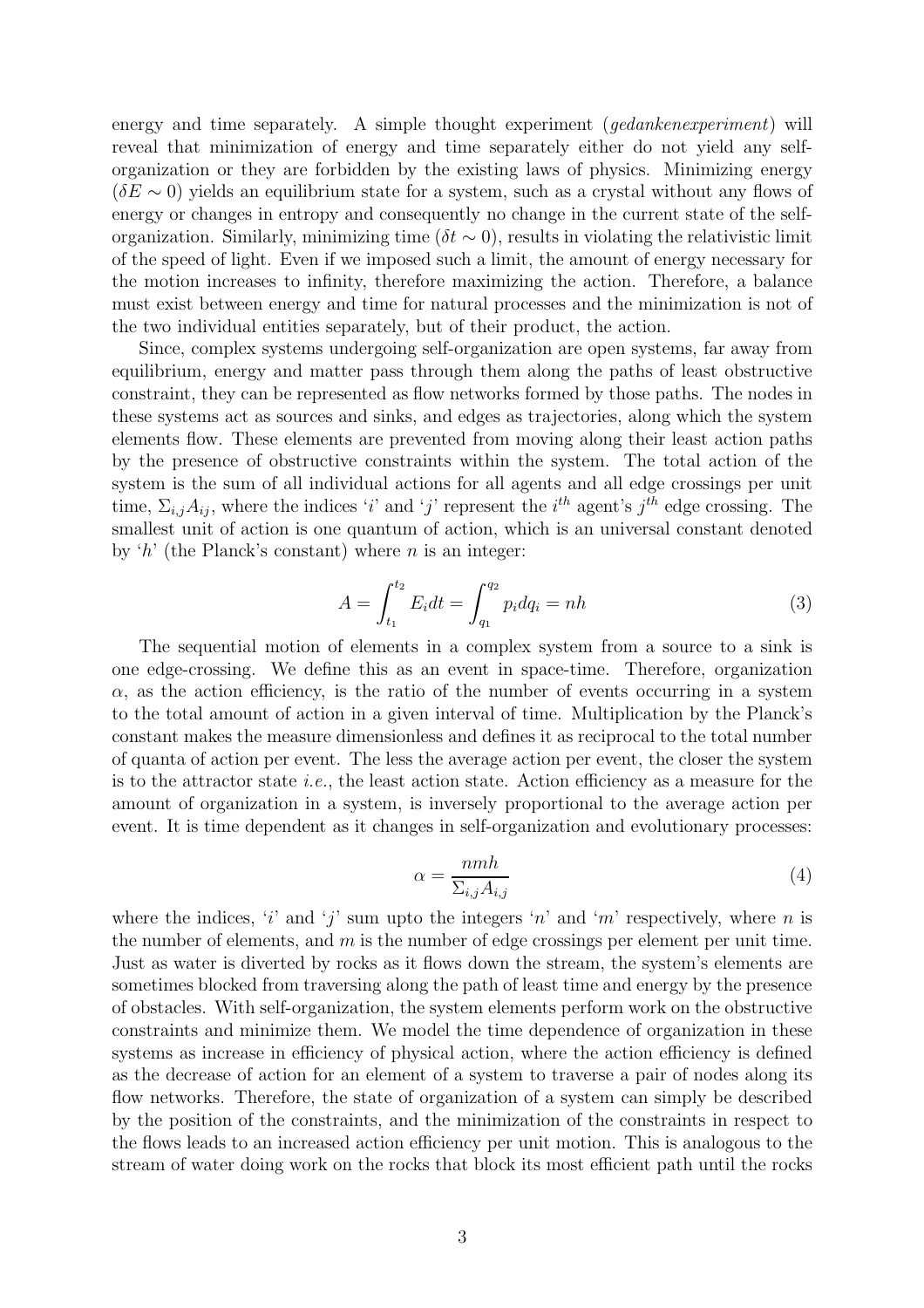energy and time separately. A simple thought experiment (*gedankenexperiment*) will reveal that minimization of energy and time separately either do not yield any selforganization or they are forbidden by the existing laws of physics. Minimizing energy  $(\delta E \sim 0)$  yields an equilibrium state for a system, such as a crystal without any flows of energy or changes in entropy and consequently no change in the current state of the selforganization. Similarly, minimizing time  $(\delta t \sim 0)$ , results in violating the relativistic limit of the speed of light. Even if we imposed such a limit, the amount of energy necessary for the motion increases to infinity, therefore maximizing the action. Therefore, a balance must exist between energy and time for natural processes and the minimization is not of the two individual entities separately, but of their product, the action.

Since, complex systems undergoing self-organization are open systems, far away from equilibrium, energy and matter pass through them along the paths of least obstructive constraint, they can be represented as flow networks formed by those paths. The nodes in these systems act as sources and sinks, and edges as trajectories, along which the system elements flow. These elements are prevented from moving along their least action paths by the presence of obstructive constraints within the system. The total action of the system is the sum of all individual actions for all agents and all edge crossings per unit time,  $\Sigma_{i,j} A_{ij}$ , where the indices 'i' and 'j' represent the i<sup>th</sup> agent's j<sup>th</sup> edge crossing. The smallest unit of action is one quantum of action, which is an universal constant denoted by  $h'$  (the Planck's constant) where *n* is an integer:

$$
A = \int_{t_1}^{t_2} E_i dt = \int_{q_1}^{q_2} p_i dq_i = nh
$$
 (3)

The sequential motion of elements in a complex system from a source to a sink is one edge-crossing. We define this as an event in space-time. Therefore, organization  $\alpha$ , as the action efficiency, is the ratio of the number of events occurring in a system to the total amount of action in a given interval of time. Multiplication by the Planck's constant makes the measure dimensionless and defines it as reciprocal to the total number of quanta of action per event. The less the average action per event, the closer the system is to the attractor state *i.e.*, the least action state. Action efficiency as a measure for the amount of organization in a system, is inversely proportional to the average action per event. It is time dependent as it changes in self-organization and evolutionary processes:

$$
\alpha = \frac{nmh}{\sum_{i,j} A_{i,j}}\tag{4}
$$

where the indices, 'i' and 'j' sum upto the integers 'n' and 'm' respectively, where n is the number of elements, and  $m$  is the number of edge crossings per element per unit time. Just as water is diverted by rocks as it flows down the stream, the system's elements are sometimes blocked from traversing along the path of least time and energy by the presence of obstacles. With self-organization, the system elements perform work on the obstructive constraints and minimize them. We model the time dependence of organization in these systems as increase in efficiency of physical action, where the action efficiency is defined as the decrease of action for an element of a system to traverse a pair of nodes along its flow networks. Therefore, the state of organization of a system can simply be described by the position of the constraints, and the minimization of the constraints in respect to the flows leads to an increased action efficiency per unit motion. This is analogous to the stream of water doing work on the rocks that block its most efficient path until the rocks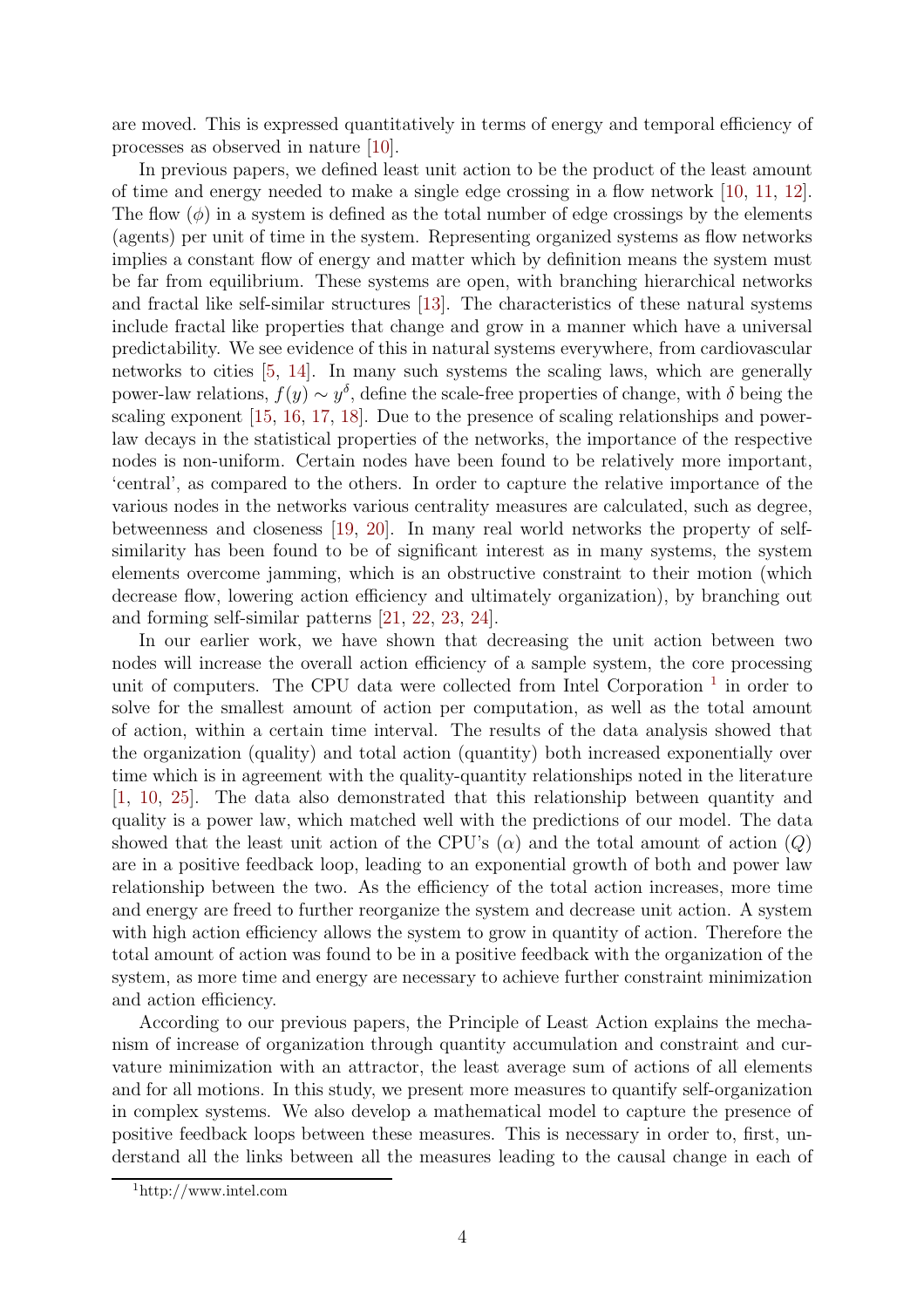are moved. This is expressed quantitatively in terms of energy and temporal efficiency of processes as observed in nature [\[10\]](#page-12-9).

In previous papers, we defined least unit action to be the product of the least amount of time and energy needed to make a single edge crossing in a flow network [\[10,](#page-12-9) [11,](#page-12-10) [12\]](#page-12-11). The flow  $(\phi)$  in a system is defined as the total number of edge crossings by the elements (agents) per unit of time in the system. Representing organized systems as flow networks implies a constant flow of energy and matter which by definition means the system must be far from equilibrium. These systems are open, with branching hierarchical networks and fractal like self-similar structures [\[13\]](#page-12-12). The characteristics of these natural systems include fractal like properties that change and grow in a manner which have a universal predictability. We see evidence of this in natural systems everywhere, from cardiovascular networks to cities [\[5](#page-12-4), [14](#page-12-13)]. In many such systems the scaling laws, which are generally power-law relations,  $f(y) \sim y^{\delta}$ , define the scale-free properties of change, with  $\delta$  being the scaling exponent [\[15](#page-12-14), [16,](#page-13-0) [17](#page-13-1), [18](#page-13-2)]. Due to the presence of scaling relationships and powerlaw decays in the statistical properties of the networks, the importance of the respective nodes is non-uniform. Certain nodes have been found to be relatively more important, 'central', as compared to the others. In order to capture the relative importance of the various nodes in the networks various centrality measures are calculated, such as degree, betweenness and closeness [\[19,](#page-13-3) [20\]](#page-13-4). In many real world networks the property of selfsimilarity has been found to be of significant interest as in many systems, the system elements overcome jamming, which is an obstructive constraint to their motion (which decrease flow, lowering action efficiency and ultimately organization), by branching out and forming self-similar patterns [\[21](#page-13-5), [22](#page-13-6), [23,](#page-13-7) [24\]](#page-13-8).

In our earlier work, we have shown that decreasing the unit action between two nodes will increase the overall action efficiency of a sample system, the core processing unit of computers. The CPU data were collected from Intel Corporation<sup>1</sup> in order to solve for the smallest amount of action per computation, as well as the total amount of action, within a certain time interval. The results of the data analysis showed that the organization (quality) and total action (quantity) both increased exponentially over time which is in agreement with the quality-quantity relationships noted in the literature [\[1](#page-12-0), [10,](#page-12-9) [25](#page-13-9)]. The data also demonstrated that this relationship between quantity and quality is a power law, which matched well with the predictions of our model. The data showed that the least unit action of the CPU's  $(\alpha)$  and the total amount of action  $(Q)$ are in a positive feedback loop, leading to an exponential growth of both and power law relationship between the two. As the efficiency of the total action increases, more time and energy are freed to further reorganize the system and decrease unit action. A system with high action efficiency allows the system to grow in quantity of action. Therefore the total amount of action was found to be in a positive feedback with the organization of the system, as more time and energy are necessary to achieve further constraint minimization and action efficiency.

According to our previous papers, the Principle of Least Action explains the mechanism of increase of organization through quantity accumulation and constraint and curvature minimization with an attractor, the least average sum of actions of all elements and for all motions. In this study, we present more measures to quantify self-organization in complex systems. We also develop a mathematical model to capture the presence of positive feedback loops between these measures. This is necessary in order to, first, understand all the links between all the measures leading to the causal change in each of

<sup>1</sup>http://www.intel.com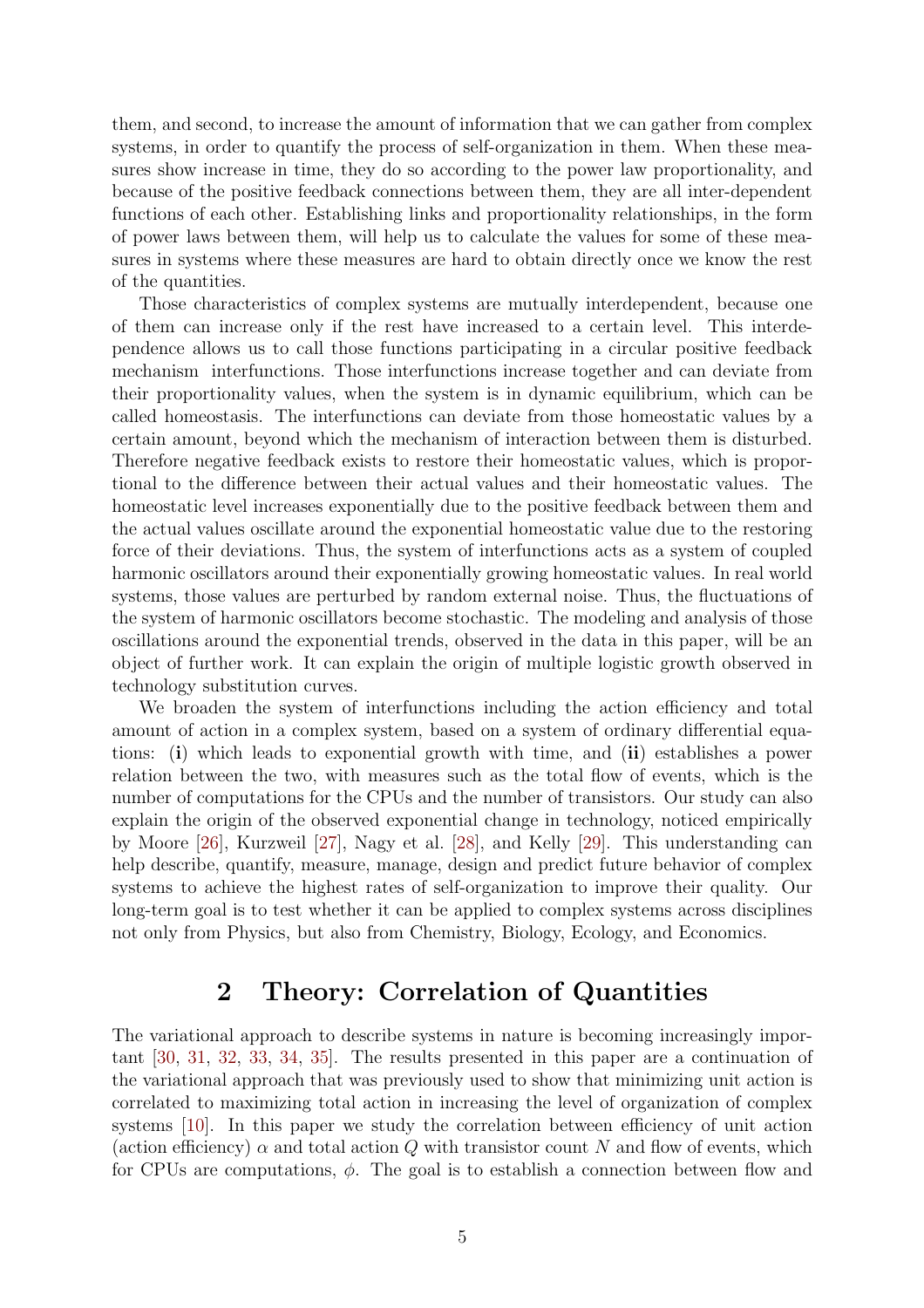them, and second, to increase the amount of information that we can gather from complex systems, in order to quantify the process of self-organization in them. When these measures show increase in time, they do so according to the power law proportionality, and because of the positive feedback connections between them, they are all inter-dependent functions of each other. Establishing links and proportionality relationships, in the form of power laws between them, will help us to calculate the values for some of these measures in systems where these measures are hard to obtain directly once we know the rest of the quantities.

Those characteristics of complex systems are mutually interdependent, because one of them can increase only if the rest have increased to a certain level. This interdependence allows us to call those functions participating in a circular positive feedback mechanism interfunctions. Those interfunctions increase together and can deviate from their proportionality values, when the system is in dynamic equilibrium, which can be called homeostasis. The interfunctions can deviate from those homeostatic values by a certain amount, beyond which the mechanism of interaction between them is disturbed. Therefore negative feedback exists to restore their homeostatic values, which is proportional to the difference between their actual values and their homeostatic values. The homeostatic level increases exponentially due to the positive feedback between them and the actual values oscillate around the exponential homeostatic value due to the restoring force of their deviations. Thus, the system of interfunctions acts as a system of coupled harmonic oscillators around their exponentially growing homeostatic values. In real world systems, those values are perturbed by random external noise. Thus, the fluctuations of the system of harmonic oscillators become stochastic. The modeling and analysis of those oscillations around the exponential trends, observed in the data in this paper, will be an object of further work. It can explain the origin of multiple logistic growth observed in technology substitution curves.

We broaden the system of interfunctions including the action efficiency and total amount of action in a complex system, based on a system of ordinary differential equations: (i) which leads to exponential growth with time, and (ii) establishes a power relation between the two, with measures such as the total flow of events, which is the number of computations for the CPUs and the number of transistors. Our study can also explain the origin of the observed exponential change in technology, noticed empirically by Moore [\[26](#page-13-10)], Kurzweil [\[27\]](#page-13-11), Nagy et al. [\[28\]](#page-13-12), and Kelly [\[29](#page-13-13)]. This understanding can help describe, quantify, measure, manage, design and predict future behavior of complex systems to achieve the highest rates of self-organization to improve their quality. Our long-term goal is to test whether it can be applied to complex systems across disciplines not only from Physics, but also from Chemistry, Biology, Ecology, and Economics.

### 2 Theory: Correlation of Quantities

The variational approach to describe systems in nature is becoming increasingly important [\[30,](#page-13-14) [31,](#page-13-15) [32](#page-13-16), [33](#page-14-0), [34,](#page-14-1) [35\]](#page-14-2). The results presented in this paper are a continuation of the variational approach that was previously used to show that minimizing unit action is correlated to maximizing total action in increasing the level of organization of complex systems [\[10\]](#page-12-9). In this paper we study the correlation between efficiency of unit action (action efficiency)  $\alpha$  and total action Q with transistor count N and flow of events, which for CPUs are computations,  $\phi$ . The goal is to establish a connection between flow and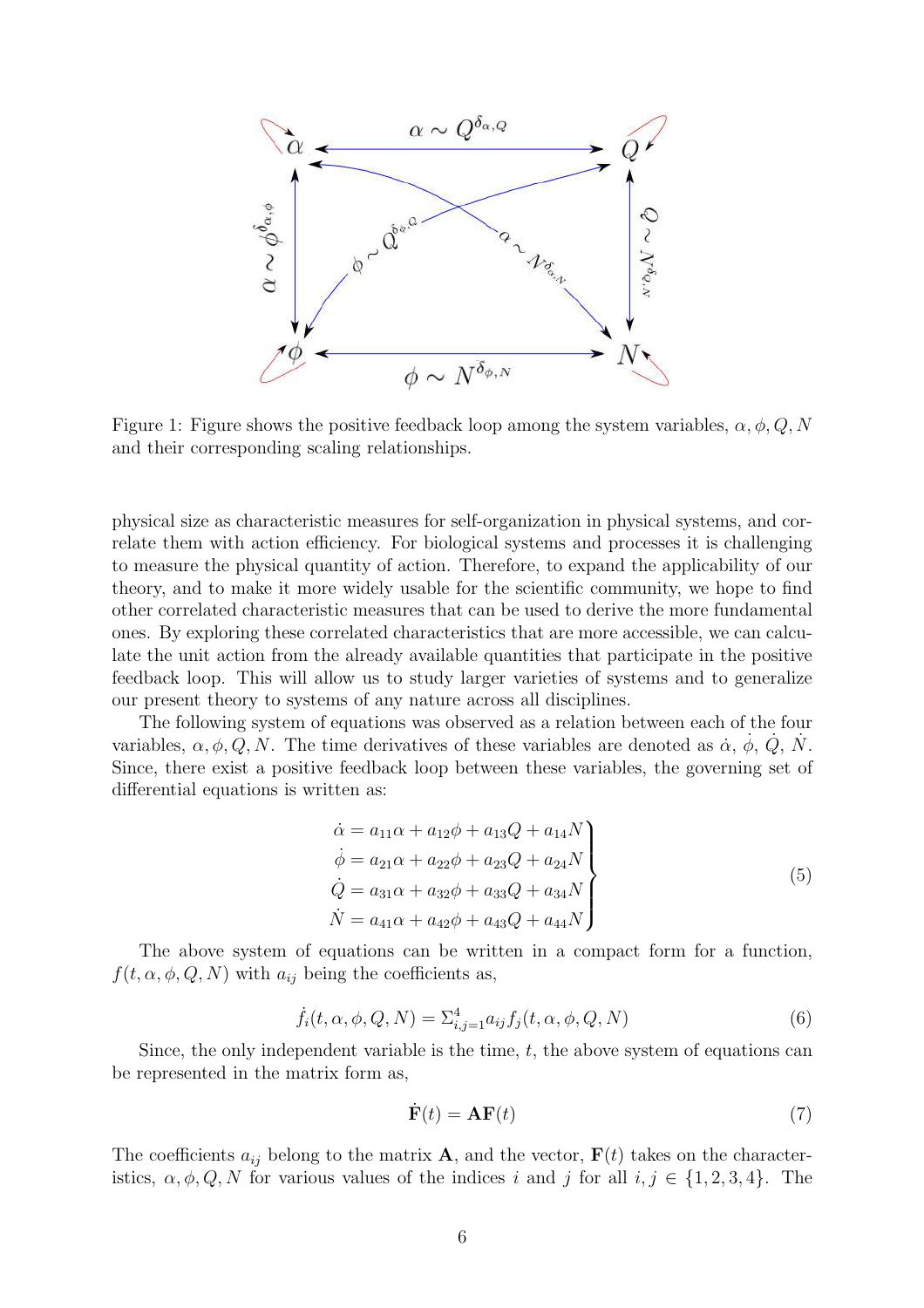

Figure 1: Figure shows the positive feedback loop among the system variables,  $\alpha, \phi, Q, N$ and their corresponding scaling relationships.

physical size as characteristic measures for self-organization in physical systems, and correlate them with action efficiency. For biological systems and processes it is challenging to measure the physical quantity of action. Therefore, to expand the applicability of our theory, and to make it more widely usable for the scientific community, we hope to find other correlated characteristic measures that can be used to derive the more fundamental ones. By exploring these correlated characteristics that are more accessible, we can calculate the unit action from the already available quantities that participate in the positive feedback loop. This will allow us to study larger varieties of systems and to generalize our present theory to systems of any nature across all disciplines.

The following system of equations was observed as a relation between each of the four variables,  $\alpha, \phi, Q, N$ . The time derivatives of these variables are denoted as  $\dot{\alpha}, \dot{\phi}, \dot{Q}, \dot{N}$ . Since, there exist a positive feedback loop between these variables, the governing set of differential equations is written as:

$$
\begin{aligned}\n\dot{\alpha} &= a_{11}\alpha + a_{12}\phi + a_{13}Q + a_{14}N \\
\dot{\phi} &= a_{21}\alpha + a_{22}\phi + a_{23}Q + a_{24}N \\
\dot{Q} &= a_{31}\alpha + a_{32}\phi + a_{33}Q + a_{34}N \\
\dot{N} &= a_{41}\alpha + a_{42}\phi + a_{43}Q + a_{44}N\n\end{aligned}
$$
\n(5)

The above system of equations can be written in a compact form for a function,  $f(t, \alpha, \phi, Q, N)$  with  $a_{ij}$  being the coefficients as,

$$
\dot{f}_i(t,\alpha,\phi,Q,N) = \Sigma_{i,j=1}^4 a_{ij} f_j(t,\alpha,\phi,Q,N)
$$
\n(6)

Since, the only independent variable is the time,  $t$ , the above system of equations can be represented in the matrix form as,

$$
\dot{\mathbf{F}}(t) = \mathbf{A}\mathbf{F}(t) \tag{7}
$$

The coefficients  $a_{ij}$  belong to the matrix **A**, and the vector,  $\mathbf{F}(t)$  takes on the characteristics,  $\alpha, \phi, Q, N$  for various values of the indices i and j for all  $i, j \in \{1, 2, 3, 4\}$ . The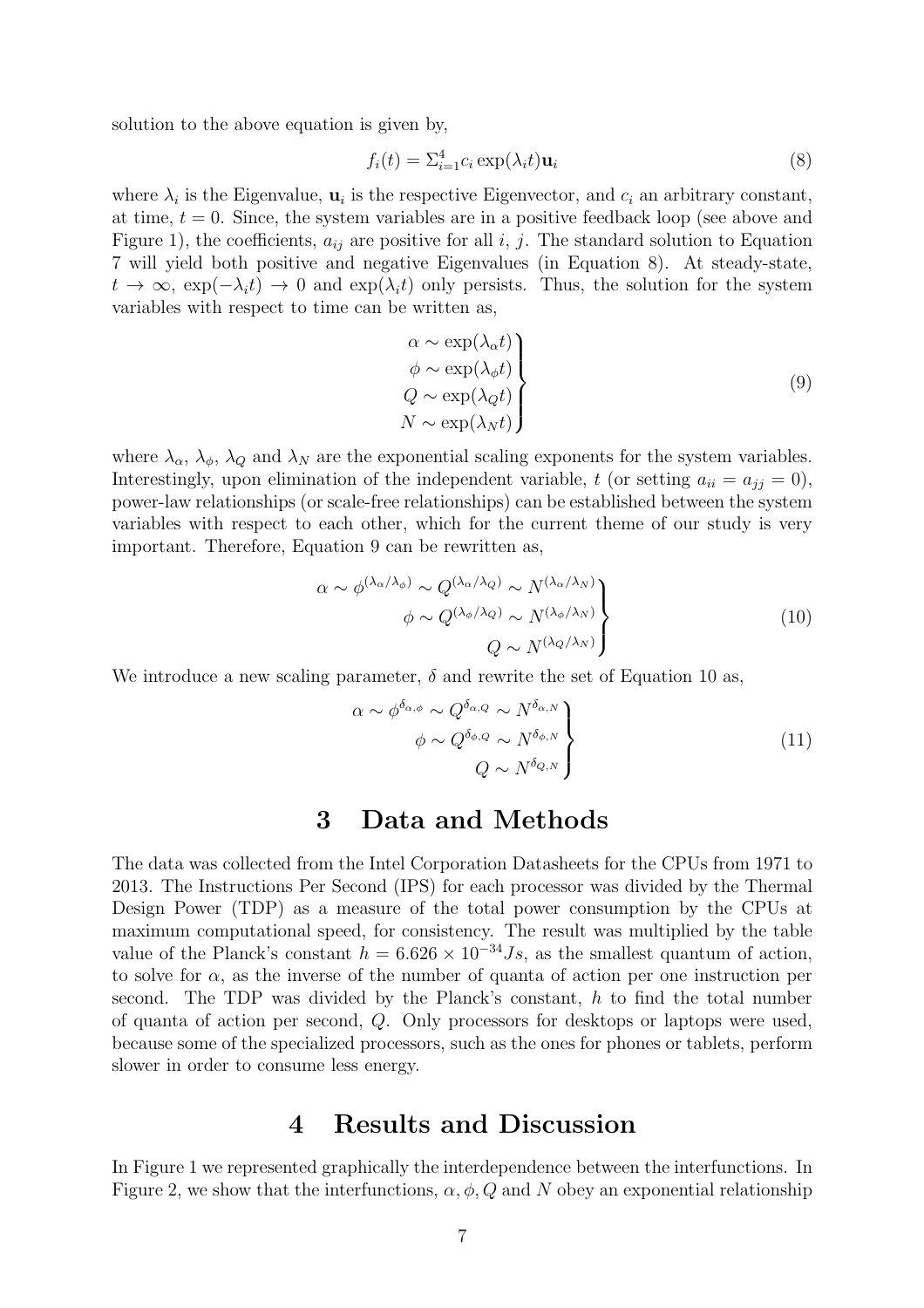solution to the above equation is given by,

$$
f_i(t) = \sum_{i=1}^4 c_i \exp(\lambda_i t) \mathbf{u}_i
$$
\n(8)

where  $\lambda_i$  is the Eigenvalue,  $\mathbf{u}_i$  is the respective Eigenvector, and  $c_i$  an arbitrary constant, at time,  $t = 0$ . Since, the system variables are in a positive feedback loop (see above and Figure 1), the coefficients,  $a_{ij}$  are positive for all i, j. The standard solution to Equation 7 will yield both positive and negative Eigenvalues (in Equation 8). At steady-state,  $t \to \infty$ ,  $\exp(-\lambda_i t) \to 0$  and  $\exp(\lambda_i t)$  only persists. Thus, the solution for the system variables with respect to time can be written as,

$$
\begin{aligned}\n\alpha &\sim \exp(\lambda_{\alpha}t) \\
\phi &\sim \exp(\lambda_{\phi}t) \\
Q &\sim \exp(\lambda_{Q}t) \\
N &\sim \exp(\lambda_{N}t)\n\end{aligned}
$$
\n(9)

where  $\lambda_{\alpha}$ ,  $\lambda_{\phi}$ ,  $\lambda_{Q}$  and  $\lambda_{N}$  are the exponential scaling exponents for the system variables. Interestingly, upon elimination of the independent variable, t (or setting  $a_{ii} = a_{jj} = 0$ ), power-law relationships (or scale-free relationships) can be established between the system variables with respect to each other, which for the current theme of our study is very important. Therefore, Equation 9 can be rewritten as,

$$
\alpha \sim \phi^{(\lambda_{\alpha}/\lambda_{\phi})} \sim Q^{(\lambda_{\alpha}/\lambda_{Q})} \sim N^{(\lambda_{\alpha}/\lambda_{N})}
$$
  
\n
$$
\phi \sim Q^{(\lambda_{\phi}/\lambda_{Q})} \sim N^{(\lambda_{\phi}/\lambda_{N})}
$$
  
\n
$$
Q \sim N^{(\lambda_{Q}/\lambda_{N})}
$$
\n(10)

We introduce a new scaling parameter,  $\delta$  and rewrite the set of Equation 10 as,

$$
\alpha \sim \phi^{\delta_{\alpha,\phi}} \sim Q^{\delta_{\alpha,Q}} \sim N^{\delta_{\alpha,N}} \}
$$
\n
$$
\phi \sim Q^{\delta_{\phi,Q}} \sim N^{\delta_{\phi,N}} \}
$$
\n
$$
Q \sim N^{\delta_{Q,N}} \tag{11}
$$

#### 3 Data and Methods

The data was collected from the Intel Corporation Datasheets for the CPUs from 1971 to 2013. The Instructions Per Second (IPS) for each processor was divided by the Thermal Design Power (TDP) as a measure of the total power consumption by the CPUs at maximum computational speed, for consistency. The result was multiplied by the table value of the Planck's constant  $h = 6.626 \times 10^{-34}$  Js, as the smallest quantum of action, to solve for  $\alpha$ , as the inverse of the number of quanta of action per one instruction per second. The TDP was divided by the Planck's constant, h to find the total number of quanta of action per second, Q. Only processors for desktops or laptops were used, because some of the specialized processors, such as the ones for phones or tablets, perform slower in order to consume less energy.

### 4 Results and Discussion

In Figure 1 we represented graphically the interdependence between the interfunctions. In Figure 2, we show that the interfunctions,  $\alpha$ ,  $\phi$ , Q and N obey an exponential relationship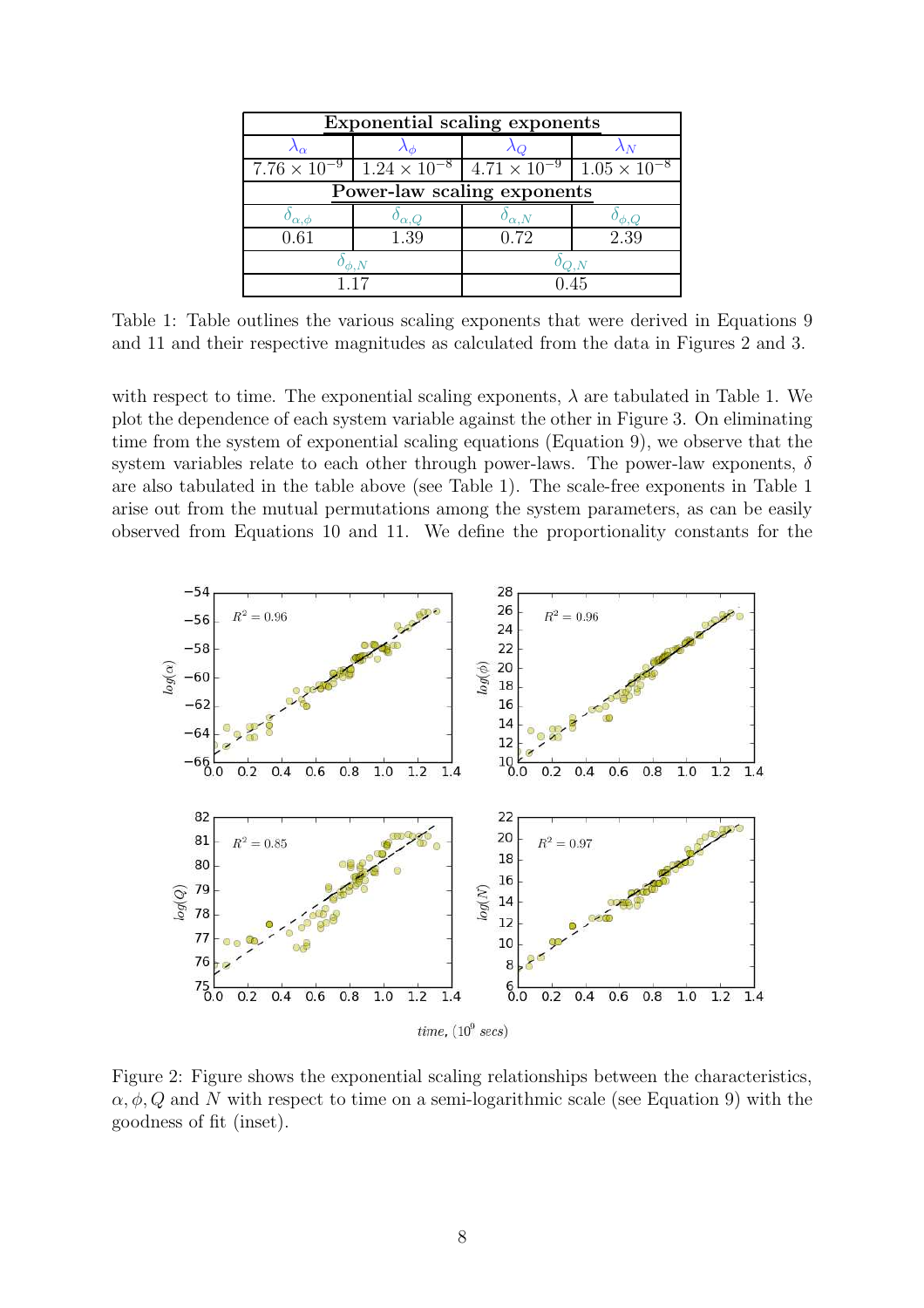| <b>Exponential scaling exponents</b> |      |                                                                                               |      |  |
|--------------------------------------|------|-----------------------------------------------------------------------------------------------|------|--|
|                                      |      |                                                                                               |      |  |
|                                      |      | $7.76 \times 10^{-9}$   $1.24 \times 10^{-8}$   $4.71 \times 10^{-9}$   $1.05 \times 10^{-8}$ |      |  |
| Power-law scaling exponents          |      |                                                                                               |      |  |
| $o_{\alpha,\phi}$                    |      |                                                                                               |      |  |
| $\overline{0.61}$                    | 1.39 | 0.72                                                                                          | 2.39 |  |
|                                      |      |                                                                                               |      |  |
| 117                                  |      | በ 45                                                                                          |      |  |

Table 1: Table outlines the various scaling exponents that were derived in Equations 9 and 11 and their respective magnitudes as calculated from the data in Figures 2 and 3.

with respect to time. The exponential scaling exponents,  $\lambda$  are tabulated in Table 1. We plot the dependence of each system variable against the other in Figure 3. On eliminating time from the system of exponential scaling equations (Equation 9), we observe that the system variables relate to each other through power-laws. The power-law exponents,  $\delta$ are also tabulated in the table above (see Table 1). The scale-free exponents in Table 1 arise out from the mutual permutations among the system parameters, as can be easily observed from Equations 10 and 11. We define the proportionality constants for the



Figure 2: Figure shows the exponential scaling relationships between the characteristics,  $\alpha, \phi, Q$  and N with respect to time on a semi-logarithmic scale (see Equation 9) with the goodness of fit (inset).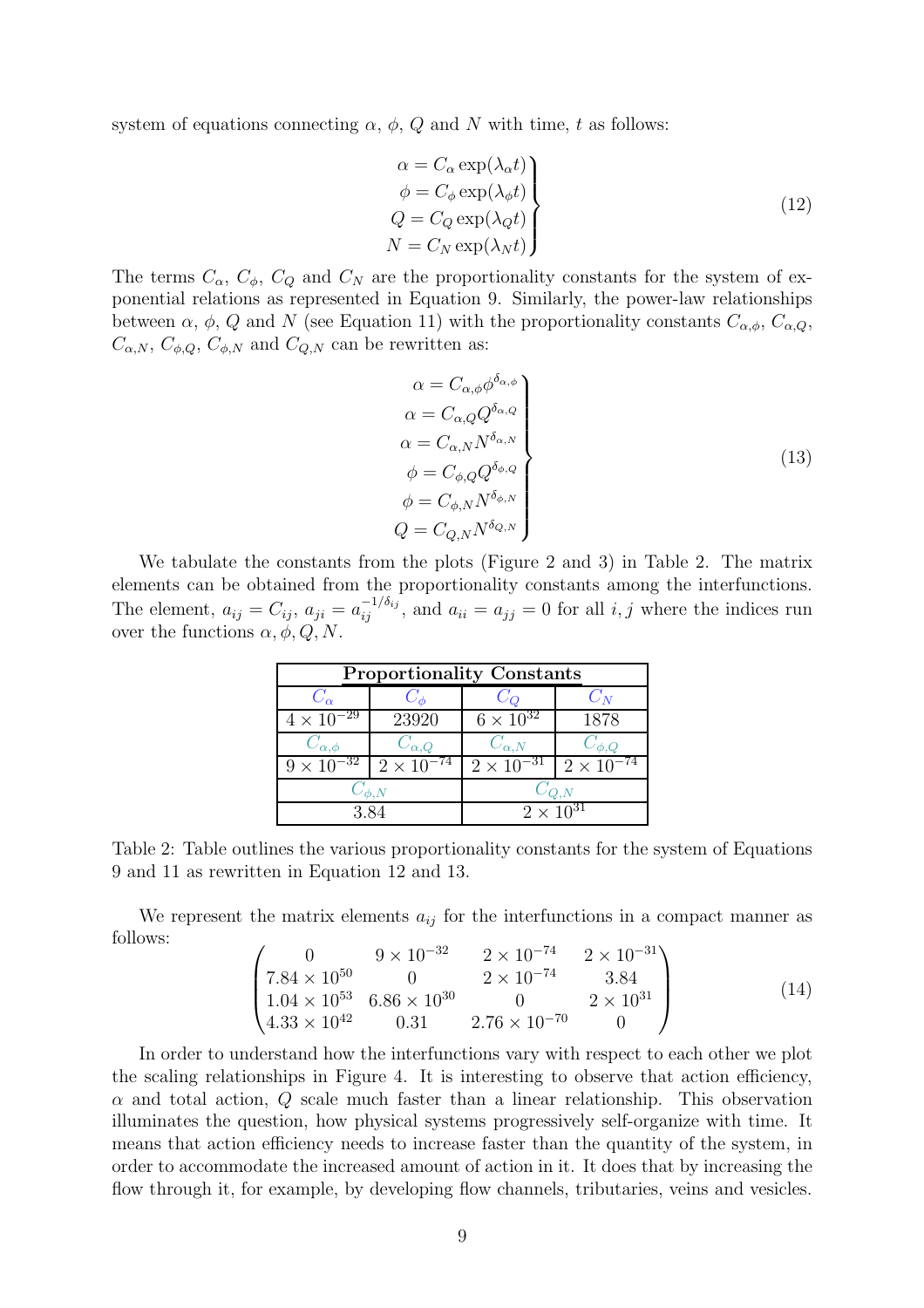system of equations connecting  $\alpha$ ,  $\phi$ , Q and N with time, t as follows:

$$
\alpha = C_{\alpha} \exp(\lambda_{\alpha} t) \n\phi = C_{\phi} \exp(\lambda_{\phi} t) \nQ = C_{Q} \exp(\lambda_{Q} t) \nN = C_{N} \exp(\lambda_{N} t)
$$
\n(12)

The terms  $C_{\alpha}$ ,  $C_{\phi}$ ,  $C_{Q}$  and  $C_{N}$  are the proportionality constants for the system of exponential relations as represented in Equation 9. Similarly, the power-law relationships between  $\alpha$ ,  $\phi$ ,  $Q$  and  $N$  (see Equation 11) with the proportionality constants  $C_{\alpha,\phi}$ ,  $C_{\alpha,Q}$ ,  $C_{\alpha,N}, C_{\phi,Q}, C_{\phi,N}$  and  $C_{Q,N}$  can be rewritten as:

$$
\alpha = C_{\alpha,\phi} \phi^{\delta_{\alpha,\phi}}
$$
\n
$$
\alpha = C_{\alpha,Q} Q^{\delta_{\alpha,Q}}
$$
\n
$$
\alpha = C_{\alpha,N} N^{\delta_{\alpha,N}}
$$
\n
$$
\phi = C_{\phi,Q} Q^{\delta_{\phi,Q}}
$$
\n
$$
\phi = C_{\phi,N} N^{\delta_{\phi,N}}
$$
\n
$$
Q = C_{Q,N} N^{\delta_{Q,N}}
$$
\n(13)

We tabulate the constants from the plots (Figure 2 and 3) in Table 2. The matrix elements can be obtained from the proportionality constants among the interfunctions. The element,  $a_{ij} = C_{ij}$ ,  $a_{ji} = a_{ij}^{-1/\delta_{ij}}$ , and  $a_{ii} = a_{jj} = 0$  for all  $i, j$  where the indices run over the functions  $\alpha, \phi, Q, N$ .

| <b>Proportionality Constants</b> |                    |                               |              |  |
|----------------------------------|--------------------|-------------------------------|--------------|--|
|                                  |                    |                               |              |  |
| $4 \times 10^{-29}$              | 23920              | $6 \times \overline{10^{32}}$ | 1878         |  |
|                                  |                    |                               |              |  |
| $9 \times 10$                    | -74<br>$2\times10$ | $2 \times 10$                 | $2 \times 1$ |  |
|                                  |                    |                               |              |  |
|                                  |                    | $2\times10^{31}$              |              |  |

Table 2: Table outlines the various proportionality constants for the system of Equations 9 and 11 as rewritten in Equation 12 and 13.

We represent the matrix elements  $a_{ij}$  for the interfunctions in a compact manner as follows:

$$
\begin{pmatrix}\n0 & 9 \times 10^{-32} & 2 \times 10^{-74} & 2 \times 10^{-31} \\
7.84 \times 10^{50} & 0 & 2 \times 10^{-74} & 3.84 \\
1.04 \times 10^{53} & 6.86 \times 10^{30} & 0 & 2 \times 10^{31} \\
4.33 \times 10^{42} & 0.31 & 2.76 \times 10^{-70} & 0\n\end{pmatrix}
$$
\n(14)

In order to understand how the interfunctions vary with respect to each other we plot the scaling relationships in Figure 4. It is interesting to observe that action efficiency,  $\alpha$  and total action,  $Q$  scale much faster than a linear relationship. This observation illuminates the question, how physical systems progressively self-organize with time. It means that action efficiency needs to increase faster than the quantity of the system, in order to accommodate the increased amount of action in it. It does that by increasing the flow through it, for example, by developing flow channels, tributaries, veins and vesicles.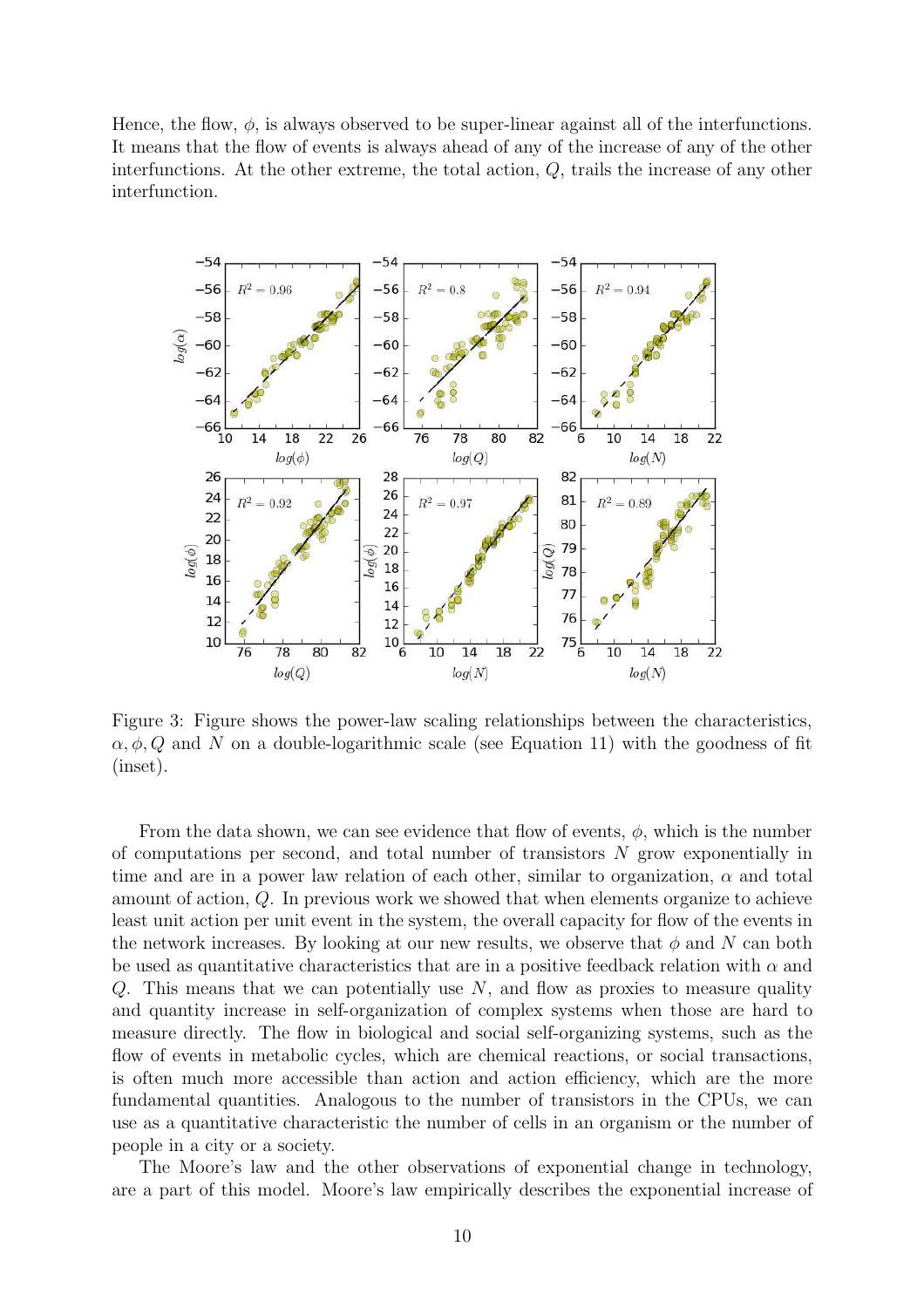Hence, the flow,  $\phi$ , is always observed to be super-linear against all of the interfunctions. It means that the flow of events is always ahead of any of the increase of any of the other interfunctions. At the other extreme, the total action, Q, trails the increase of any other interfunction.



Figure 3: Figure shows the power-law scaling relationships between the characteristics,  $\alpha, \phi, Q$  and N on a double-logarithmic scale (see Equation 11) with the goodness of fit (inset).

From the data shown, we can see evidence that flow of events,  $\phi$ , which is the number of computations per second, and total number of transistors  $N$  grow exponentially in time and are in a power law relation of each other, similar to organization,  $\alpha$  and total amount of action, Q. In previous work we showed that when elements organize to achieve least unit action per unit event in the system, the overall capacity for flow of the events in the network increases. By looking at our new results, we observe that  $\phi$  and N can both be used as quantitative characteristics that are in a positive feedback relation with  $\alpha$  and  $Q$ . This means that we can potentially use  $N$ , and flow as proxies to measure quality and quantity increase in self-organization of complex systems when those are hard to measure directly. The flow in biological and social self-organizing systems, such as the flow of events in metabolic cycles, which are chemical reactions, or social transactions, is often much more accessible than action and action efficiency, which are the more fundamental quantities. Analogous to the number of transistors in the CPUs, we can use as a quantitative characteristic the number of cells in an organism or the number of people in a city or a society.

The Moore's law and the other observations of exponential change in technology, are a part of this model. Moore's law empirically describes the exponential increase of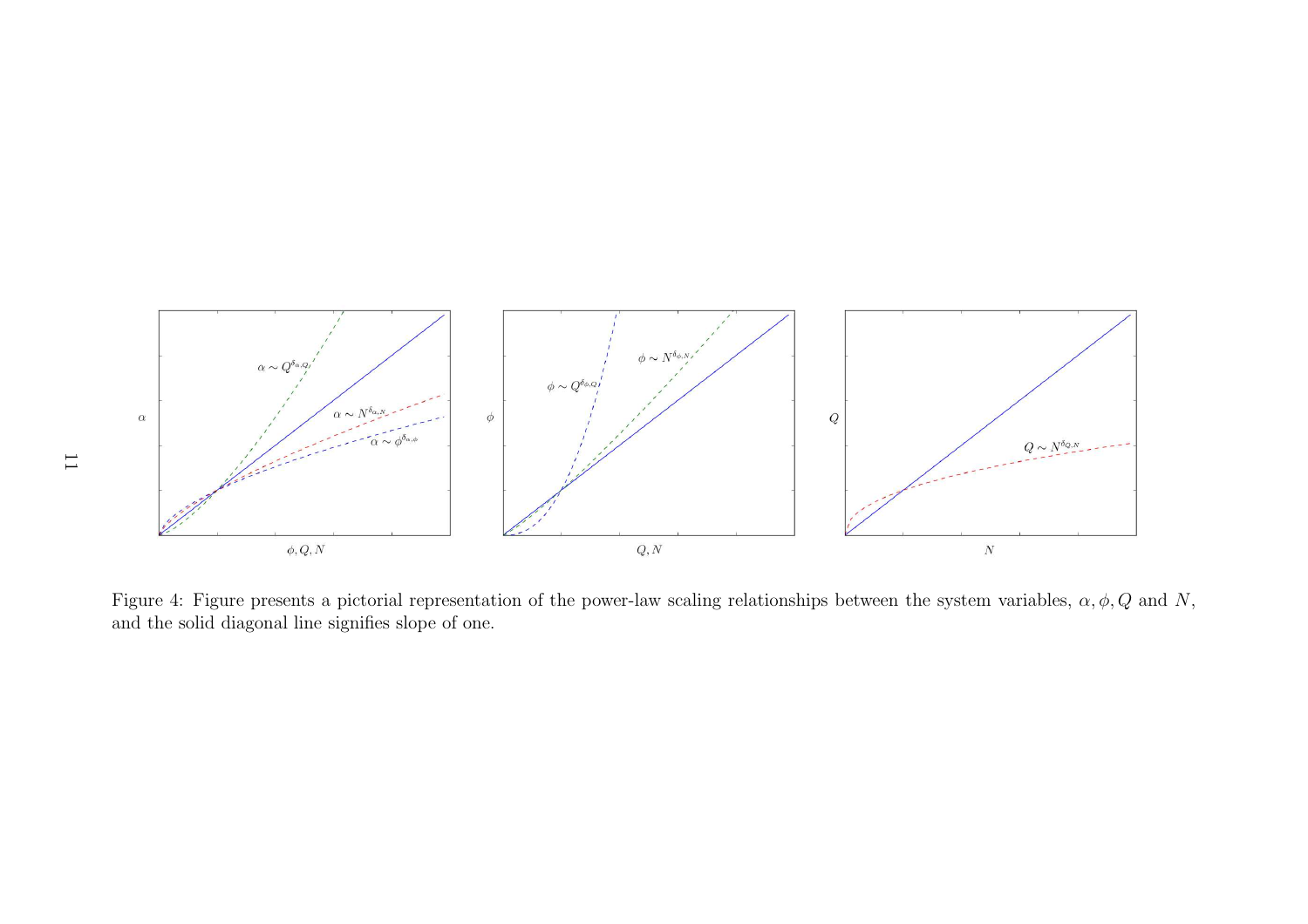

Figure 4: Figure presents a pictorial representation of the power-law scaling relationships between the system variables,  $\alpha, \phi, Q$  and N, and the solid diagonal line signifies slope of one.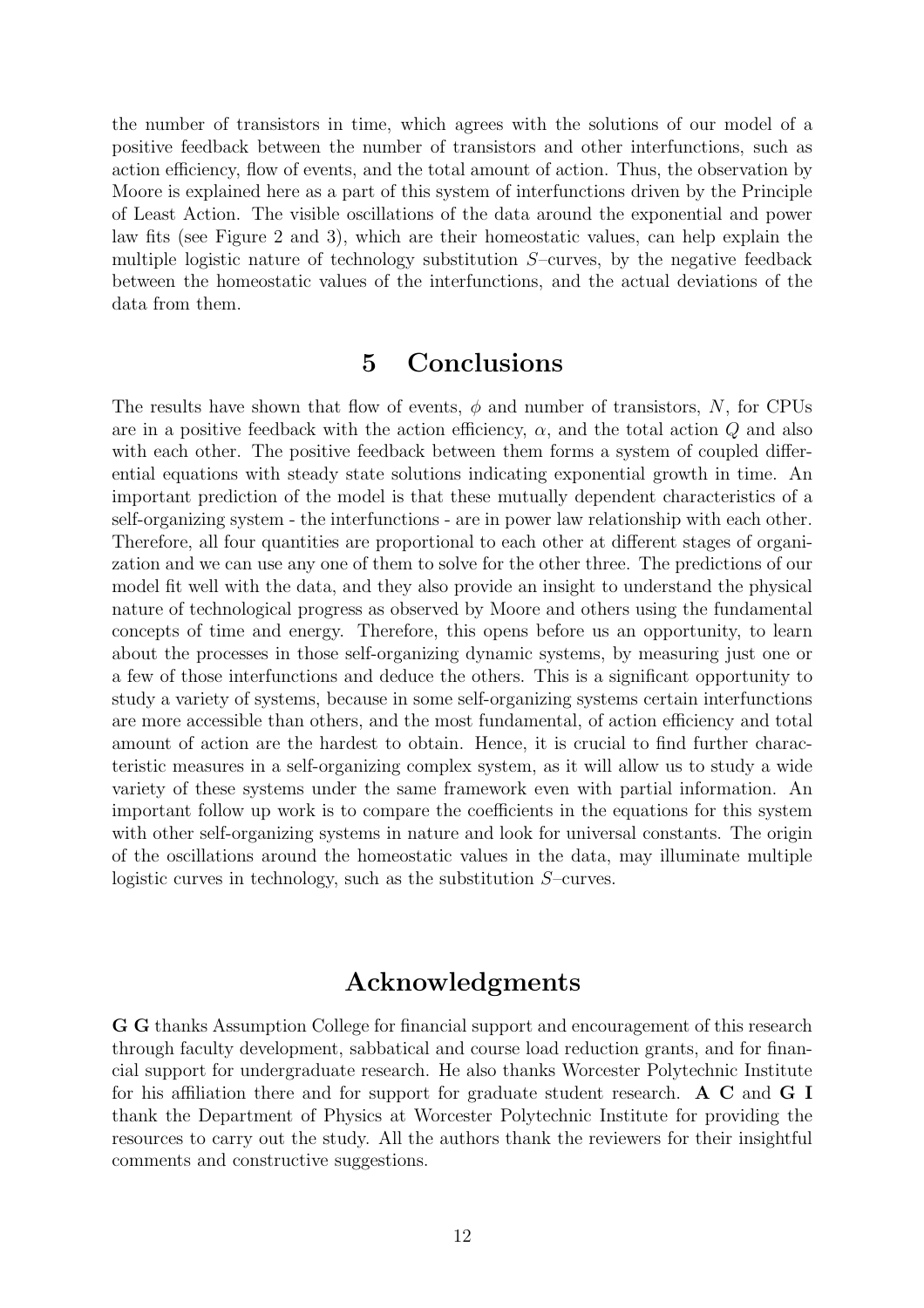the number of transistors in time, which agrees with the solutions of our model of a positive feedback between the number of transistors and other interfunctions, such as action efficiency, flow of events, and the total amount of action. Thus, the observation by Moore is explained here as a part of this system of interfunctions driven by the Principle of Least Action. The visible oscillations of the data around the exponential and power law fits (see Figure 2 and 3), which are their homeostatic values, can help explain the multiple logistic nature of technology substitution  $S$ –curves, by the negative feedback between the homeostatic values of the interfunctions, and the actual deviations of the data from them.

## 5 Conclusions

The results have shown that flow of events,  $\phi$  and number of transistors, N, for CPUs are in a positive feedback with the action efficiency,  $\alpha$ , and the total action Q and also with each other. The positive feedback between them forms a system of coupled differential equations with steady state solutions indicating exponential growth in time. An important prediction of the model is that these mutually dependent characteristics of a self-organizing system - the interfunctions - are in power law relationship with each other. Therefore, all four quantities are proportional to each other at different stages of organization and we can use any one of them to solve for the other three. The predictions of our model fit well with the data, and they also provide an insight to understand the physical nature of technological progress as observed by Moore and others using the fundamental concepts of time and energy. Therefore, this opens before us an opportunity, to learn about the processes in those self-organizing dynamic systems, by measuring just one or a few of those interfunctions and deduce the others. This is a significant opportunity to study a variety of systems, because in some self-organizing systems certain interfunctions are more accessible than others, and the most fundamental, of action efficiency and total amount of action are the hardest to obtain. Hence, it is crucial to find further characteristic measures in a self-organizing complex system, as it will allow us to study a wide variety of these systems under the same framework even with partial information. An important follow up work is to compare the coefficients in the equations for this system with other self-organizing systems in nature and look for universal constants. The origin of the oscillations around the homeostatic values in the data, may illuminate multiple logistic curves in technology, such as the substitution S–curves.

#### Acknowledgments

G G thanks Assumption College for financial support and encouragement of this research through faculty development, sabbatical and course load reduction grants, and for financial support for undergraduate research. He also thanks Worcester Polytechnic Institute for his affiliation there and for support for graduate student research. A C and G I thank the Department of Physics at Worcester Polytechnic Institute for providing the resources to carry out the study. All the authors thank the reviewers for their insightful comments and constructive suggestions.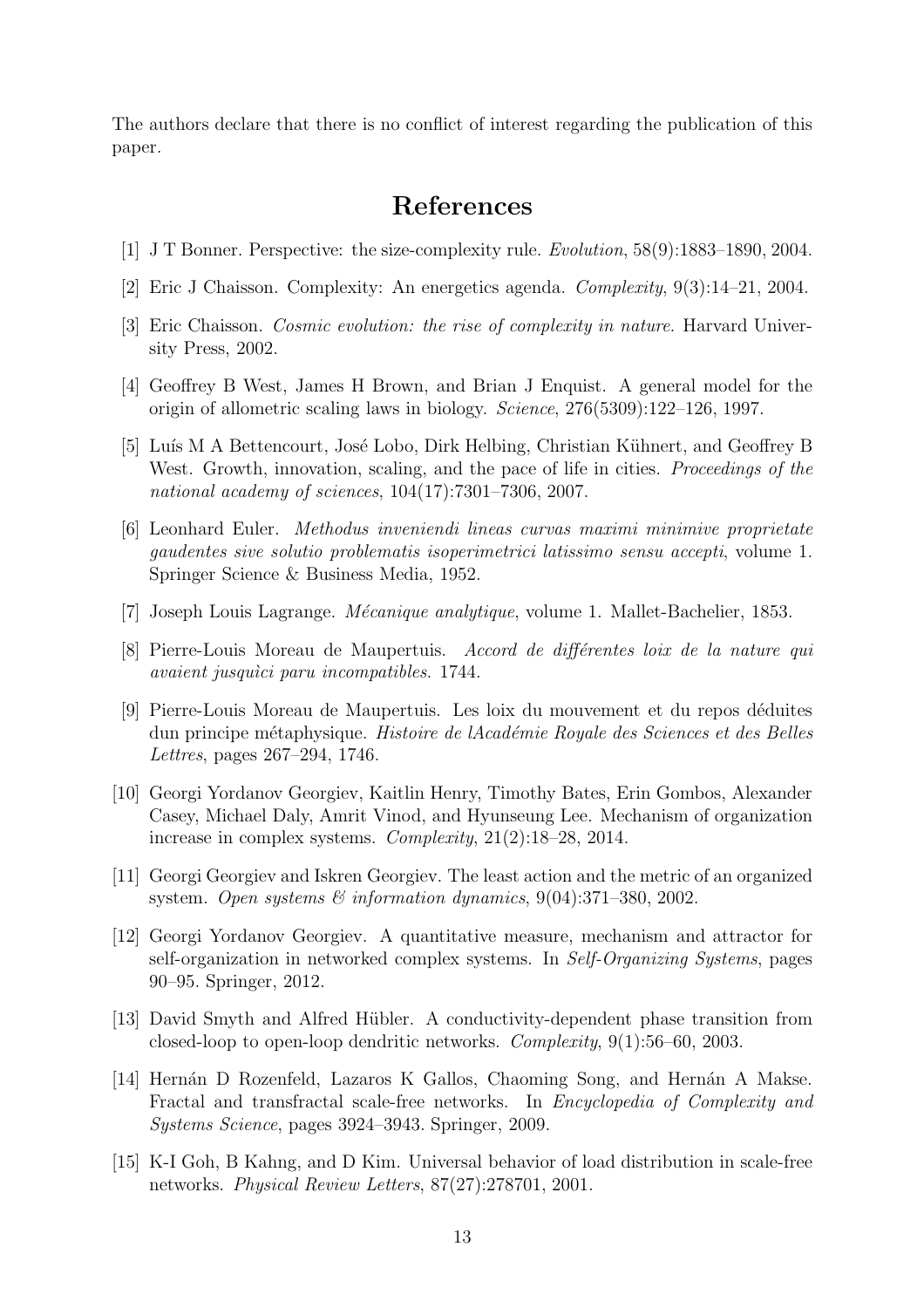The authors declare that there is no conflict of interest regarding the publication of this paper.

### References

- <span id="page-12-0"></span>[1] J T Bonner. Perspective: the size-complexity rule. Evolution, 58(9):1883–1890, 2004.
- <span id="page-12-1"></span>[2] Eric J Chaisson. Complexity: An energetics agenda. Complexity, 9(3):14–21, 2004.
- <span id="page-12-2"></span>[3] Eric Chaisson. Cosmic evolution: the rise of complexity in nature. Harvard University Press, 2002.
- <span id="page-12-3"></span>[4] Geoffrey B West, James H Brown, and Brian J Enquist. A general model for the origin of allometric scaling laws in biology. Science, 276(5309):122–126, 1997.
- <span id="page-12-4"></span>[5] Luís M A Bettencourt, José Lobo, Dirk Helbing, Christian Kühnert, and Geoffrey B West. Growth, innovation, scaling, and the pace of life in cities. *Proceedings of the* national academy of sciences, 104(17):7301–7306, 2007.
- <span id="page-12-5"></span>[6] Leonhard Euler. Methodus inveniendi lineas curvas maximi minimive proprietate gaudentes sive solutio problematis isoperimetrici latissimo sensu accepti, volume 1. Springer Science & Business Media, 1952.
- <span id="page-12-6"></span>[7] Joseph Louis Lagrange. *Mécanique analytique*, volume 1. Mallet-Bachelier, 1853.
- <span id="page-12-7"></span> $[8]$  Pierre-Louis Moreau de Maupertuis. Accord de différentes loix de la nature qui avaient jusquici paru incompatibles. 1744.
- <span id="page-12-8"></span>[9] Pierre-Louis Moreau de Maupertuis. Les loix du mouvement et du repos d´eduites dun principe métaphysique. Histoire de lAcadémie Royale des Sciences et des Belles Lettres, pages 267–294, 1746.
- <span id="page-12-9"></span>[10] Georgi Yordanov Georgiev, Kaitlin Henry, Timothy Bates, Erin Gombos, Alexander Casey, Michael Daly, Amrit Vinod, and Hyunseung Lee. Mechanism of organization increase in complex systems. Complexity, 21(2):18–28, 2014.
- <span id="page-12-10"></span>[11] Georgi Georgiev and Iskren Georgiev. The least action and the metric of an organized system. Open systems  $\mathcal{B}$  information dynamics, 9(04):371–380, 2002.
- <span id="page-12-11"></span>[12] Georgi Yordanov Georgiev. A quantitative measure, mechanism and attractor for self-organization in networked complex systems. In Self-Organizing Systems, pages 90–95. Springer, 2012.
- <span id="page-12-12"></span>[13] David Smyth and Alfred Hübler. A conductivity-dependent phase transition from closed-loop to open-loop dendritic networks. Complexity, 9(1):56–60, 2003.
- <span id="page-12-13"></span>[14] Hernán D Rozenfeld, Lazaros K Gallos, Chaoming Song, and Hernán A Makse. Fractal and transfractal scale-free networks. In Encyclopedia of Complexity and Systems Science, pages 3924–3943. Springer, 2009.
- <span id="page-12-14"></span>[15] K-I Goh, B Kahng, and D Kim. Universal behavior of load distribution in scale-free networks. Physical Review Letters, 87(27):278701, 2001.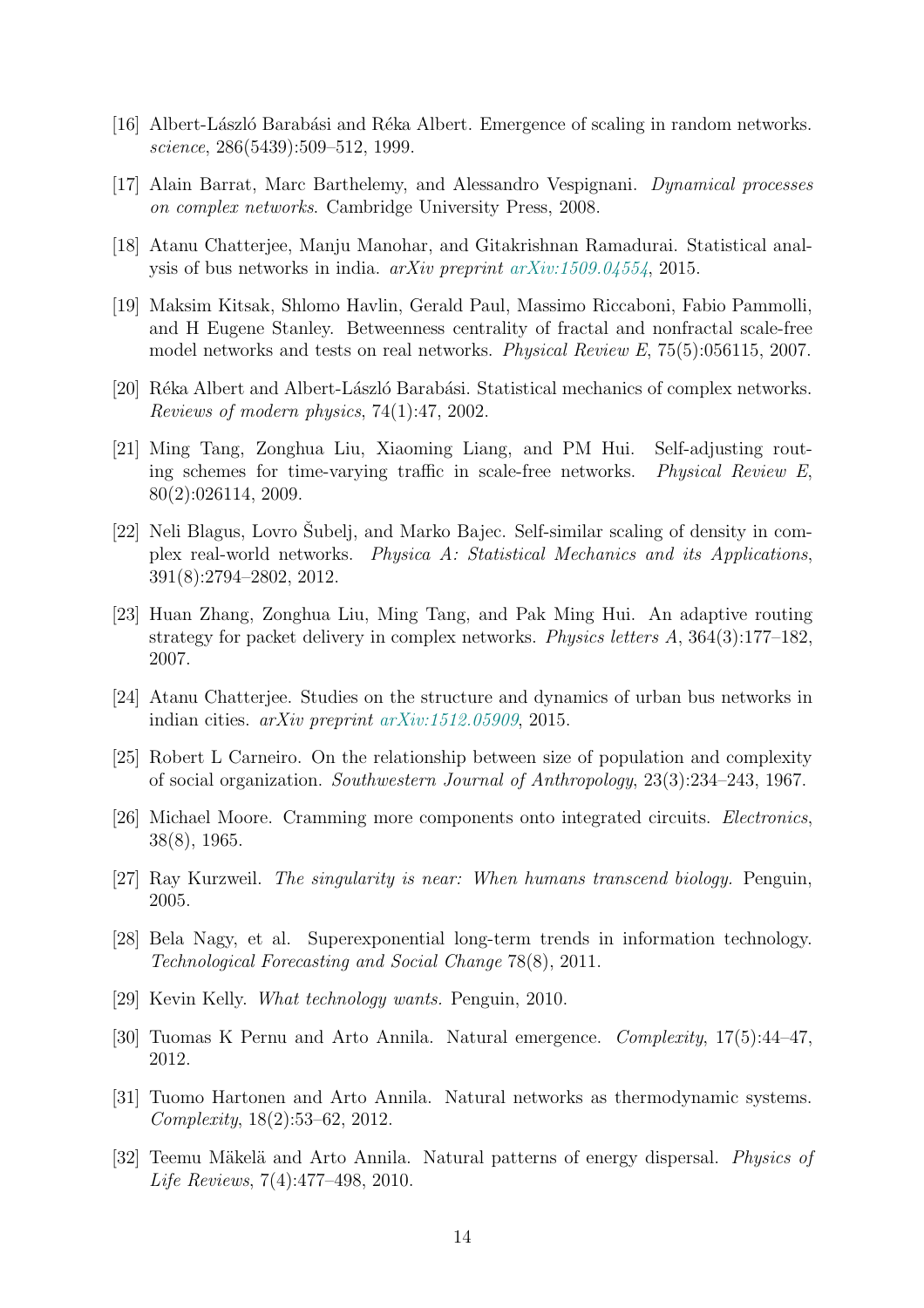- <span id="page-13-0"></span>[16] Albert-László Barabási and Réka Albert. Emergence of scaling in random networks. science, 286(5439):509–512, 1999.
- <span id="page-13-1"></span>[17] Alain Barrat, Marc Barthelemy, and Alessandro Vespignani. Dynamical processes on complex networks. Cambridge University Press, 2008.
- <span id="page-13-2"></span>[18] Atanu Chatterjee, Manju Manohar, and Gitakrishnan Ramadurai. Statistical analysis of bus networks in india. arXiv preprint [arXiv:1509.04554](http://arxiv.org/abs/1509.04554), 2015.
- <span id="page-13-3"></span>[19] Maksim Kitsak, Shlomo Havlin, Gerald Paul, Massimo Riccaboni, Fabio Pammolli, and H Eugene Stanley. Betweenness centrality of fractal and nonfractal scale-free model networks and tests on real networks. Physical Review E, 75(5):056115, 2007.
- <span id="page-13-4"></span>[20] Réka Albert and Albert-László Barabási. Statistical mechanics of complex networks. Reviews of modern physics, 74(1):47, 2002.
- <span id="page-13-5"></span>[21] Ming Tang, Zonghua Liu, Xiaoming Liang, and PM Hui. Self-adjusting routing schemes for time-varying traffic in scale-free networks. Physical Review E, 80(2):026114, 2009.
- <span id="page-13-6"></span>[22] Neli Blagus, Lovro Subelj, and Marko Bajec. Self-similar scaling of density in complex real-world networks. Physica A: Statistical Mechanics and its Applications, 391(8):2794–2802, 2012.
- <span id="page-13-7"></span>[23] Huan Zhang, Zonghua Liu, Ming Tang, and Pak Ming Hui. An adaptive routing strategy for packet delivery in complex networks. Physics letters A, 364(3):177–182, 2007.
- <span id="page-13-8"></span>[24] Atanu Chatterjee. Studies on the structure and dynamics of urban bus networks in indian cities. arXiv preprint [arXiv:1512.05909](http://arxiv.org/abs/1512.05909), 2015.
- <span id="page-13-9"></span>[25] Robert L Carneiro. On the relationship between size of population and complexity of social organization. Southwestern Journal of Anthropology, 23(3):234–243, 1967.
- <span id="page-13-10"></span>[26] Michael Moore. Cramming more components onto integrated circuits. Electronics, 38(8), 1965.
- <span id="page-13-11"></span>[27] Ray Kurzweil. The singularity is near: When humans transcend biology. Penguin, 2005.
- <span id="page-13-12"></span>[28] Bela Nagy, et al. Superexponential long-term trends in information technology. Technological Forecasting and Social Change 78(8), 2011.
- <span id="page-13-13"></span>[29] Kevin Kelly. What technology wants. Penguin, 2010.
- <span id="page-13-14"></span>[30] Tuomas K Pernu and Arto Annila. Natural emergence. Complexity, 17(5):44–47, 2012.
- <span id="page-13-15"></span>[31] Tuomo Hartonen and Arto Annila. Natural networks as thermodynamic systems. Complexity, 18(2):53–62, 2012.
- <span id="page-13-16"></span>[32] Teemu Mäkelä and Arto Annila. Natural patterns of energy dispersal. *Physics of* Life Reviews, 7(4):477–498, 2010.